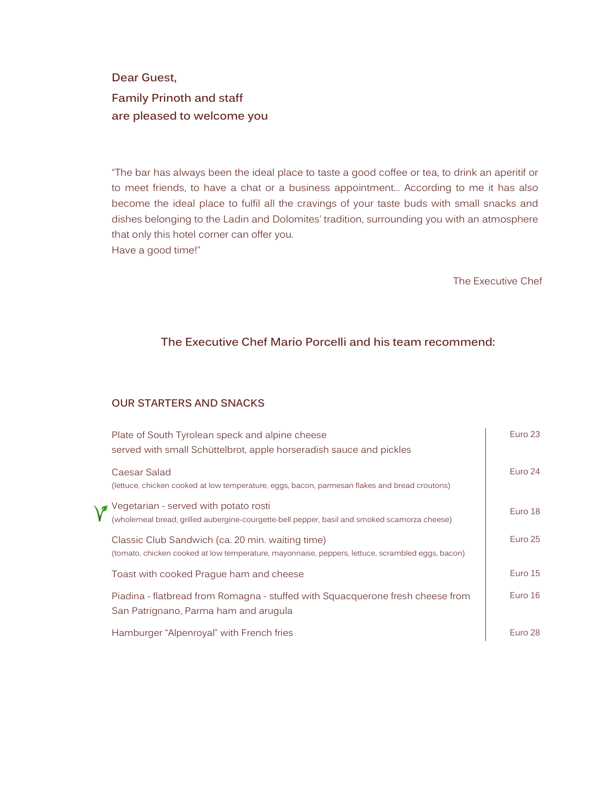Dear Guest,

Family Prinoth and staff are pleased to welcome you

"The bar has always been the ideal place to taste a good coffee or tea, to drink an aperitif or to meet friends, to have a chat or a business appointment… According to me it has also become the ideal place to fulfil all the cravings of your taste buds with small snacks and dishes belonging to the Ladin and Dolomites' tradition, surrounding you with an atmosphere that only this hotel corner can offer you. Have a good time!"

The Executive Chef

## The Executive Chef Mario Porcelli and his team recommend:

## OUR STARTERS AND SNACKS

| Plate of South Tyrolean speck and alpine cheese<br>served with small Schüttelbrot, apple horseradish sauce and pickles                               | Euro 23   |
|------------------------------------------------------------------------------------------------------------------------------------------------------|-----------|
| Caesar Salad<br>(lettuce, chicken cooked at low temperature, eggs, bacon, parmesan flakes and bread croutons)                                        | Euro 24   |
| Vegetarian - served with potato rosti<br>(wholemeal bread, grilled aubergine-courgette-bell pepper, basil and smoked scamorza cheese)                | Euro 18   |
| Classic Club Sandwich (ca. 20 min. waiting time)<br>(tomato, chicken cooked at low temperature, mayonnaise, peppers, lettuce, scrambled eggs, bacon) | Euro 25   |
| Toast with cooked Prague ham and cheese                                                                                                              | Euro 15   |
| Piadina - flatbread from Romagna - stuffed with Squacquerone fresh cheese from<br>San Patrignano, Parma ham and arugula                              | Euro $16$ |
| Hamburger "Alpenroyal" with French fries                                                                                                             | Euro 28   |